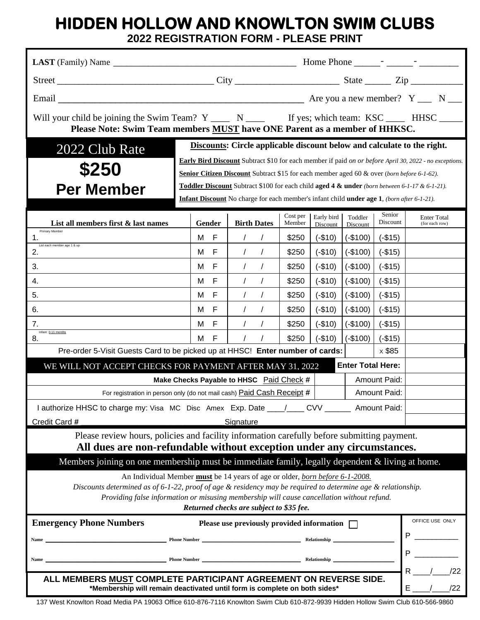## **HIDDEN HOLLOW AND KNOWLTON SWIM CLUBS**

**2022 REGISTRATION FORM - PLEASE PRINT**

| Will your child be joining the Swim Team? Y _____ N _____ If yes; which team: KSC _____ HHSC _____<br>Please Note: Swim Team members <b>MUST</b> have ONE Parent as a member of HHKSC.                                                                                                                                                       |                                                                                                                                                                                                                                                                                                                                                                                                                                                                                                             |                        |                    |                        |                     |                    |                                      |     |  |
|----------------------------------------------------------------------------------------------------------------------------------------------------------------------------------------------------------------------------------------------------------------------------------------------------------------------------------------------|-------------------------------------------------------------------------------------------------------------------------------------------------------------------------------------------------------------------------------------------------------------------------------------------------------------------------------------------------------------------------------------------------------------------------------------------------------------------------------------------------------------|------------------------|--------------------|------------------------|---------------------|--------------------|--------------------------------------|-----|--|
| 2022 Club Rate<br>\$250<br><b>Per Member</b>                                                                                                                                                                                                                                                                                                 | Discounts: Circle applicable discount below and calculate to the right.<br><b>Early Bird Discount</b> Subtract \$10 for each member if paid on or before April 30, 2022 - no exceptions.<br><b>Senior Citizen Discount</b> Subtract \$15 for each member aged 60 & over (born before 6-1-62).<br>Toddler Discount Subtract \$100 for each child aged 4 & under (born between 6-1-17 & 6-1-21).<br><b>Infant Discount</b> No charge for each member's infant child <b>under age 1</b> , (born after 6-1-21). |                        |                    |                        |                     |                    |                                      |     |  |
| List all members first & last names                                                                                                                                                                                                                                                                                                          | Gender                                                                                                                                                                                                                                                                                                                                                                                                                                                                                                      | <b>Birth Dates</b>     | Cost per<br>Member | Early bird<br>Discount | Toddler<br>Discount | Senior<br>Discount | <b>Enter Total</b><br>(for each row) |     |  |
| Primary Member<br>1.                                                                                                                                                                                                                                                                                                                         | F<br>M                                                                                                                                                                                                                                                                                                                                                                                                                                                                                                      | $\prime$<br>$\sqrt{ }$ | \$250              | $(-$10)$               | $(-$100)$           | $(-$15)$           |                                      |     |  |
| List each member age 1 & up<br>2.                                                                                                                                                                                                                                                                                                            | F<br>м                                                                                                                                                                                                                                                                                                                                                                                                                                                                                                      | $\prime$<br>$\sqrt{2}$ | \$250              | $(-$10)$               | $(-$100)$           | $(-$15)$           |                                      |     |  |
| 3.                                                                                                                                                                                                                                                                                                                                           | М<br>F                                                                                                                                                                                                                                                                                                                                                                                                                                                                                                      | $\sqrt{ }$             | \$250              | $(-$10)$               | $(-$100)$           | $(-$15)$           |                                      |     |  |
| 4.                                                                                                                                                                                                                                                                                                                                           | F<br>М                                                                                                                                                                                                                                                                                                                                                                                                                                                                                                      | $\sqrt{ }$<br>$\prime$ | \$250              | $(-$10)$               | $(-$100)$           | $(-$15)$           |                                      |     |  |
| 5.                                                                                                                                                                                                                                                                                                                                           | F<br>М                                                                                                                                                                                                                                                                                                                                                                                                                                                                                                      | $\prime$               | \$250              | $(-$10)$               | $(-$100)$           | $(-$15)$           |                                      |     |  |
| 6.                                                                                                                                                                                                                                                                                                                                           | F<br>M                                                                                                                                                                                                                                                                                                                                                                                                                                                                                                      | $\prime$               | \$250              | $(-$10)$               | $(-$100)$           | $(-$15)$           |                                      |     |  |
| 7.<br>Infant: 0-11 months                                                                                                                                                                                                                                                                                                                    | M<br>F                                                                                                                                                                                                                                                                                                                                                                                                                                                                                                      | $\prime$               | \$250              | $(-$10)$               | $(-$100)$           | $(-$15)$           |                                      |     |  |
| 8.                                                                                                                                                                                                                                                                                                                                           | M<br>F                                                                                                                                                                                                                                                                                                                                                                                                                                                                                                      |                        | \$250              | $(-$10)$               | $(-$100)$           | $(-$15)$           |                                      |     |  |
| Pre-order 5-Visit Guests Card to be picked up at HHSC! Enter number of cards:<br>x \$85                                                                                                                                                                                                                                                      |                                                                                                                                                                                                                                                                                                                                                                                                                                                                                                             |                        |                    |                        |                     |                    |                                      |     |  |
| <b>Enter Total Here:</b><br>WE WILL NOT ACCEPT CHECKS FOR PAYMENT AFTER MAY 31, 2022                                                                                                                                                                                                                                                         |                                                                                                                                                                                                                                                                                                                                                                                                                                                                                                             |                        |                    |                        |                     |                    |                                      |     |  |
|                                                                                                                                                                                                                                                                                                                                              | <b>Amount Paid:</b><br>Make Checks Payable to HHSC Paid Check #                                                                                                                                                                                                                                                                                                                                                                                                                                             |                        |                    |                        |                     |                    |                                      |     |  |
| For registration in person only (do not mail cash) Paid Cash Receipt #<br><b>Amount Paid:</b>                                                                                                                                                                                                                                                |                                                                                                                                                                                                                                                                                                                                                                                                                                                                                                             |                        |                    |                        |                     |                    |                                      |     |  |
| I authorize HHSC to charge my: Visa MC Disc Amex Exp. Date ____/____ CVV _______ Amount Paid:                                                                                                                                                                                                                                                |                                                                                                                                                                                                                                                                                                                                                                                                                                                                                                             |                        |                    |                        |                     |                    |                                      |     |  |
| Credit Card #<br>Signature                                                                                                                                                                                                                                                                                                                   |                                                                                                                                                                                                                                                                                                                                                                                                                                                                                                             |                        |                    |                        |                     |                    |                                      |     |  |
| Please review hours, policies and facility information carefully before submitting payment.<br>All dues are non-refundable without exception under any circumstances.                                                                                                                                                                        |                                                                                                                                                                                                                                                                                                                                                                                                                                                                                                             |                        |                    |                        |                     |                    |                                      |     |  |
| Members joining on one membership must be immediate family, legally dependent & living at home.                                                                                                                                                                                                                                              |                                                                                                                                                                                                                                                                                                                                                                                                                                                                                                             |                        |                    |                        |                     |                    |                                      |     |  |
| An Individual Member must be 14 years of age or older, born before 6-1-2008.<br>Discounts determined as of 6-1-22, proof of age $\&$ residency may be required to determine age $\&$ relationship.<br>Providing false information or misusing membership will cause cancellation without refund.<br>Returned checks are subject to \$35 fee. |                                                                                                                                                                                                                                                                                                                                                                                                                                                                                                             |                        |                    |                        |                     |                    |                                      |     |  |
| <b>Emergency Phone Numbers</b>                                                                                                                                                                                                                                                                                                               | OFFICE USE ONLY<br>Please use previously provided information $\Box$                                                                                                                                                                                                                                                                                                                                                                                                                                        |                        |                    |                        |                     |                    |                                      |     |  |
|                                                                                                                                                                                                                                                                                                                                              |                                                                                                                                                                                                                                                                                                                                                                                                                                                                                                             |                        |                    |                        |                     |                    |                                      |     |  |
| Name                                                                                                                                                                                                                                                                                                                                         |                                                                                                                                                                                                                                                                                                                                                                                                                                                                                                             |                        |                    |                        |                     |                    |                                      |     |  |
| ALL MEMBERS MUST COMPLETE PARTICIPANT AGREEMENT ON REVERSE SIDE.                                                                                                                                                                                                                                                                             |                                                                                                                                                                                                                                                                                                                                                                                                                                                                                                             |                        |                    |                        |                     |                    |                                      | /22 |  |
| *Membership will remain deactivated until form is complete on both sides*                                                                                                                                                                                                                                                                    |                                                                                                                                                                                                                                                                                                                                                                                                                                                                                                             |                        |                    |                        |                     | E.                 | /22                                  |     |  |

137 West Knowlton Road Media PA 19063 Office 610-876-7116 Knowlton Swim Club 610-872-9939 Hidden Hollow Swim Club 610-566-9860